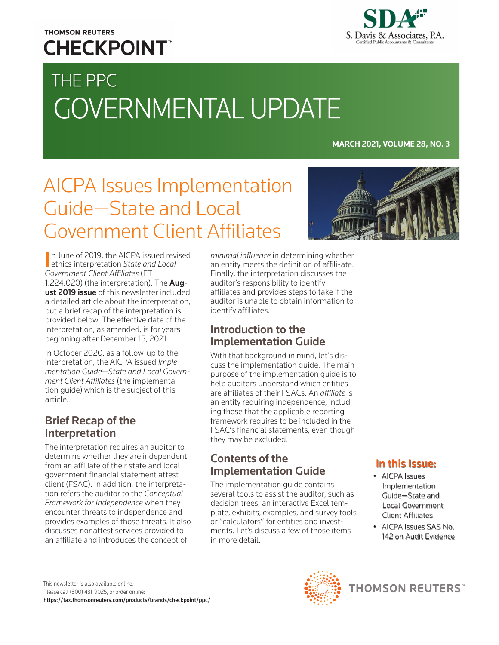### **THOMSON REUTERS CHECKPOINT**



# THE PPC GOVERNMENTAL UPDATE

**MARCH 2021, VOLUME 28, NO. 3**

## AICPA Issues Implementation Guide—State and Local Government Client Affiliates



In June of 2019, the AICPA issued revised<br>ethics interpretation State and Local ethics interpretation *State and Local Government Client Affiliates* (ET 1.224.020) (the interpretation). The [Aug](https://checkpoint.riag.com/app/find?begParm=y&appVer=21.03&dbName=PPCGUN&linkType=docloc&locId=PPCGUN%3Ad5302ad5b17cddb&ods=PPCGUN&permaId=iPPCGUN%3A2019d5302ad5b17cddb&permaType=doc&tagName=ARTICLE&endParm=y)[ust 2019 issue](https://checkpoint.riag.com/app/find?begParm=y&appVer=21.03&dbName=PPCGUN&linkType=docloc&locId=PPCGUN%3Ad5302ad5b17cddb&ods=PPCGUN&permaId=iPPCGUN%3A2019d5302ad5b17cddb&permaType=doc&tagName=ARTICLE&endParm=y) of this newsletter included a detailed article about the interpretation, but a brief recap of the interpretation is provided below. The effective date of the interpretation, as amended, is for years beginning after December 15, 2021.

In October 2020, as a follow-up to the interpretation, the AICPA issued *Implementation Guide—State and Local Government Client Affiliates* (the implementation guide) which is the subject of this article.

#### Brief Recap of the Interpretation

The interpretation requires an auditor to determine whether they are independent from an affiliate of their state and local government financial statement attest client (FSAC). In addition, the interpretation refers the auditor to the *Conceptual Framework for Independence* when they encounter threats to independence and provides examples of those threats. It also discusses nonattest services provided to an affiliate and introduces the concept of

*minimal influence* in determining whether an entity meets the definition of affili-ate. Finally, the interpretation discusses the auditor's responsibility to identify affiliates and provides steps to take if the auditor is unable to obtain information to identify affiliates.

#### Introduction to the Implementation Guide

With that background in mind, let's discuss the implementation guide. The main purpose of the implementation guide is to help auditors understand which entities are affiliates of their FSACs. An *affiliate* is an entity requiring independence, including those that the applicable reporting framework requires to be included in the FSAC's financial statements, even though they may be excluded.

#### Contents of the Implementation Guide

The implementation guide contains several tools to assist the auditor, such as decision trees, an interactive Excel template, exhibits, examples, and survey tools or "calculators" for entities and investments. Let's discuss a few of those items in more detail.

#### In this Issue:

- AICPA Issues Implementation Guide—State and Local Government Client Affiliates
- AICPA Issues SAS No. 142 on Audit Evidence

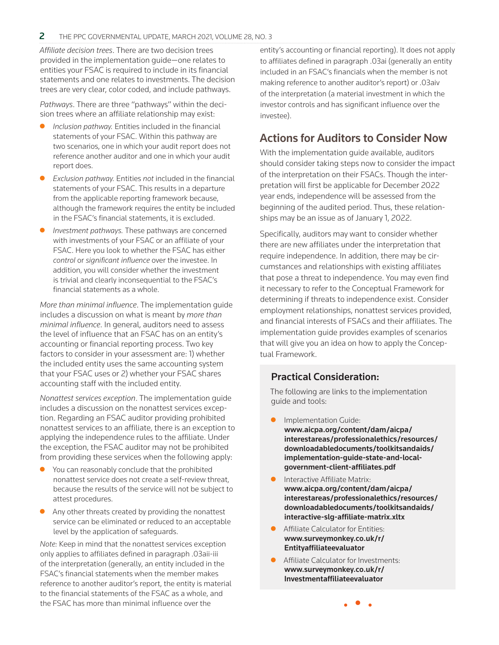*Affiliate decision trees*. There are two decision trees provided in the implementation guide—one relates to entities your FSAC is required to include in its financial statements and one relates to investments. The decision trees are very clear, color coded, and include pathways.

*Pathways*. There are three "pathways" within the decision trees where an affiliate relationship may exist:

- **•** *Inclusion pathway.* Entities included in the financial statements of your FSAC. Within this pathway are two scenarios, one in which your audit report does not reference another auditor and one in which your audit report does.
- z *Exclusion pathway.* Entities *not* included in the financial statements of your FSAC. This results in a departure from the applicable reporting framework because, although the framework requires the entity be included in the FSAC's financial statements, it is excluded.
- *Investment pathways.* These pathways are concerned with investments of your FSAC or an affiliate of your FSAC. Here you look to whether the FSAC has either *control* or *significant influence* over the investee. In addition, you will consider whether the investment is trivial and clearly inconsequential to the FSAC's financial statements as a whole.

*More than minimal influence*. The implementation guide includes a discussion on what is meant by *more than minimal influence*. In general, auditors need to assess the level of influence that an FSAC has on an entity's accounting or financial reporting process. Two key factors to consider in your assessment are: 1) whether the included entity uses the same accounting system that your FSAC uses or 2) whether your FSAC shares accounting staff with the included entity.

*Nonattest services exception*. The implementation guide includes a discussion on the nonattest services exception. Regarding an FSAC auditor providing prohibited nonattest services to an affiliate, there is an exception to applying the independence rules to the affiliate. Under the exception, the FSAC auditor may not be prohibited from providing these services when the following apply:

- You can reasonably conclude that the prohibited nonattest service does not create a self-review threat, because the results of the service will not be subject to attest procedures.
- $\bullet$  Any other threats created by providing the nonattest service can be eliminated or reduced to an acceptable level by the application of safeguards.

*Note:* Keep in mind that the nonattest services exception only applies to affiliates defined in paragraph .03aii-iii of the interpretation (generally, an entity included in the FSAC's financial statements when the member makes reference to another auditor's report, the entity is material to the financial statements of the FSAC as a whole, and the FSAC has more than minimal influence over the

entity's accounting or financial reporting). It does not apply to affiliates defined in paragraph .03ai (generally an entity included in an FSAC's financials when the member is not making reference to another auditor's report) or .03aiv of the interpretation (a material investment in which the investor controls and has significant influence over the investee).

#### Actions for Auditors to Consider Now

With the implementation guide available, auditors should consider taking steps now to consider the impact of the interpretation on their FSACs. Though the interpretation will first be applicable for December 2022 year ends, independence will be assessed from the beginning of the audited period. Thus, these relationships may be an issue as of January 1, 2022.

Specifically, auditors may want to consider whether there are new affiliates under the interpretation that require independence. In addition, there may be circumstances and relationships with existing affiliates that pose a threat to independence. You may even find it necessary to refer to the Conceptual Framework for determining if threats to independence exist. Consider employment relationships, nonattest services provided, and financial interests of FSACs and their affiliates. The implementation guide provides examples of scenarios that will give you an idea on how to apply the Conceptual Framework.

#### Practical Consideration:

The following are links to the implementation guide and tools:

- Implementation Guide: www.aicpa.org/content/dam/aicpa/ [interestareas/professionalethics/resources/](https://www.aicpa.org/content/dam/aicpa/interestareas/professionalethics/resources/downloadabledocuments/toolkitsandaids/implementation-guide-state-and-local-government-client-affiliates.pdf) downloadabledocuments/toolkitsandaids/ implementation-guide-state-and-localgovernment-client-affiliates.pdf
- Interactive Affiliate Matrix: www.aicpa.org/content/dam/aicpa/ [interestareas/professionalethics/resources/](https://www.aicpa.org/content/dam/aicpa/interestareas/professionalethics/resources/downloadabledocuments/toolkitsandaids/interactive-slg-affiliate-matrix.xltx) downloadabledocuments/toolkitsandaids/ interactive-slg-affiliate-matrix.xltx
- Affiliate Calculator for Entities: [www.surveymonkey.co.uk/r/](https://www.surveymonkey.co.uk/r/Entityaffiliateevaluator) Entityaffiliateevaluator
- Affiliate Calculator for Investments: [www.surveymonkey.co.uk/r/](https://www.surveymonkey.co.uk/r/Investmentaffiliateevaluator) Investmentaffiliateevaluator

• • •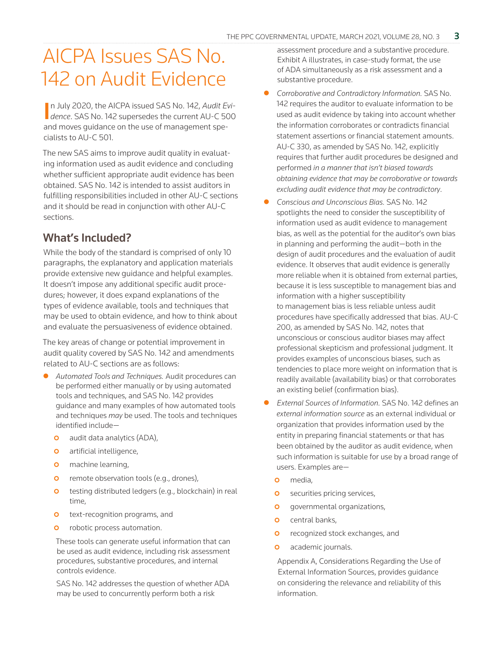### AICPA Issues SAS No. 142 on Audit Evidence

In July 2020, the AICPA issued SAS No. 142, *Audit Evidence*. SAS No. 142 supersedes the current AU-C 500 n July 2020, the AICPA issued SAS No. 142, *Audit Evi*and moves guidance on the use of management specialists to AU-C 501.

The new SAS aims to improve audit quality in evaluating information used as audit evidence and concluding whether sufficient appropriate audit evidence has been obtained. SAS No. 142 is intended to assist auditors in fulfilling responsibilities included in other AU-C sections and it should be read in conjunction with other AU-C sections.

#### What's Included?

While the body of the standard is comprised of only 10 paragraphs, the explanatory and application materials provide extensive new guidance and helpful examples. It doesn't impose any additional specific audit procedures; however, it does expand explanations of the types of evidence available, tools and techniques that may be used to obtain evidence, and how to think about and evaluate the persuasiveness of evidence obtained.

The key areas of change or potential improvement in audit quality covered by SAS No. 142 and amendments related to AU-C sections are as follows:

- z *Automated Tools and Techniques.* Audit procedures can be performed either manually or by using automated tools and techniques, and SAS No. 142 provides guidance and many examples of how automated tools and techniques *may* be used. The tools and techniques identified include
	- **o** audit data analytics (ADA),
	- **o** artificial intelligence,
	- **o** machine learning,
	- **o** remote observation tools (e.g., drones),
	- **o** testing distributed ledgers (e.g., blockchain) in real time,
	- **o** text-recognition programs, and
	- **o** robotic process automation.

These tools can generate useful information that can be used as audit evidence, including risk assessment procedures, substantive procedures, and internal controls evidence.

SAS No. 142 addresses the question of whether ADA may be used to concurrently perform both a risk

assessment procedure and a substantive procedure. Exhibit A illustrates, in case-study format, the use of ADA simultaneously as a risk assessment and a substantive procedure.

- z *Corroborative and Contradictory Information.* SAS No. 142 requires the auditor to evaluate information to be used as audit evidence by taking into account whether the information corroborates or contradicts financial statement assertions or financial statement amounts. AU-C 330, as amended by SAS No. 142, explicitly requires that further audit procedures be designed and performed *in a manner that isn't biased towards obtaining evidence that may be corroborative or towards excluding audit evidence that may be contradictory*.
- z *Conscious and Unconscious Bias.* SAS No. 142 spotlights the need to consider the susceptibility of information used as audit evidence to management bias, as well as the potential for the auditor's own bias in planning and performing the audit—both in the design of audit procedures and the evaluation of audit evidence. It observes that audit evidence is generally more reliable when it is obtained from external parties, because it is less susceptible to management bias and information with a higher susceptibility to management bias is less reliable unless audit procedures have specifically addressed that bias. AU-C 200, as amended by SAS No. 142, notes that unconscious or conscious auditor biases may affect professional skepticism and professional judgment. It provides examples of unconscious biases, such as tendencies to place more weight on information that is readily available (availability bias) or that corroborates an existing belief (confirmation bias).
- **•** External Sources of Information. SAS No. 142 defines an *external information source* as an external individual or organization that provides information used by the entity in preparing financial statements or that has been obtained by the auditor as audit evidence, when such information is suitable for use by a broad range of users. Examples are
	- **o** media.
	- **o** securities pricing services,
	- **o** governmental organizations,
	- **o** central banks,
	- **o** recognized stock exchanges, and
	- **o** academic journals.

Appendix A, Considerations Regarding the Use of External Information Sources, provides guidance on considering the relevance and reliability of this information.